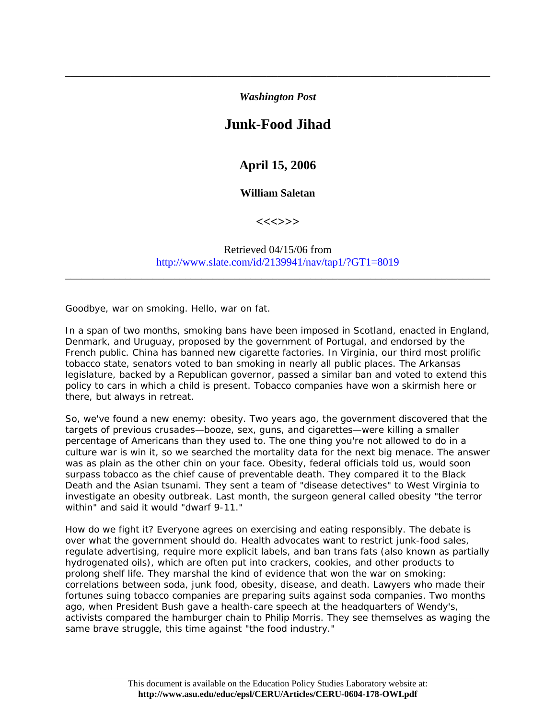*Washington Post* 

\_\_\_\_\_\_\_\_\_\_\_\_\_\_\_\_\_\_\_\_\_\_\_\_\_\_\_\_\_\_\_\_\_\_\_\_\_\_\_\_\_\_\_\_\_\_\_\_\_\_\_\_\_\_\_\_\_\_\_\_\_\_\_\_\_\_\_\_\_\_\_\_\_\_\_\_\_\_

## **Junk-Food Jihad**

## **April 15, 2006**

## **William Saletan**

**<<<>>>** 

Retrieved 04/15/06 from http://www.slate.com/id/2139941/nav/tap1/?GT1=8019

\_\_\_\_\_\_\_\_\_\_\_\_\_\_\_\_\_\_\_\_\_\_\_\_\_\_\_\_\_\_\_\_\_\_\_\_\_\_\_\_\_\_\_\_\_\_\_\_\_\_\_\_\_\_\_\_\_\_\_\_\_\_\_\_\_\_\_\_\_\_\_\_\_\_\_\_\_\_

Goodbye, war on smoking. Hello, war on fat.

In a span of two months, smoking bans have been imposed in Scotland, enacted in England, Denmark, and Uruguay, proposed by the government of Portugal, and endorsed by the French public. China has banned new cigarette factories. In Virginia, our third most prolific tobacco state, senators voted to ban smoking in nearly all public places. The Arkansas legislature, backed by a Republican governor, passed a similar ban and voted to extend this policy to cars in which a child is present. Tobacco companies have won a skirmish here or there, but always in retreat.

So, we've found a new enemy: obesity. Two years ago, the government discovered that the targets of previous crusades—booze, sex, guns, and cigarettes—were killing a smaller percentage of Americans than they used to. The one thing you're not allowed to do in a culture war is win it, so we searched the mortality data for the next big menace. The answer was as plain as the other chin on your face. Obesity, federal officials told us, would soon surpass tobacco as the chief cause of preventable death. They compared it to the Black Death and the Asian tsunami. They sent a team of "disease detectives" to West Virginia to investigate an obesity outbreak. Last month, the surgeon general called obesity "the terror within" and said it would "dwarf 9-11."

How do we fight it? Everyone agrees on exercising and eating responsibly. The debate is over what the government should do. Health advocates want to restrict junk-food sales, regulate advertising, require more explicit labels, and ban trans fats (also known as partially hydrogenated oils), which are often put into crackers, cookies, and other products to prolong shelf life. They marshal the kind of evidence that won the war on smoking: correlations between soda, junk food, obesity, disease, and death. Lawyers who made their fortunes suing tobacco companies are preparing suits against soda companies. Two months ago, when President Bush gave a health-care speech at the headquarters of Wendy's, activists compared the hamburger chain to Philip Morris. They see themselves as waging the same brave struggle, this time against "the food industry."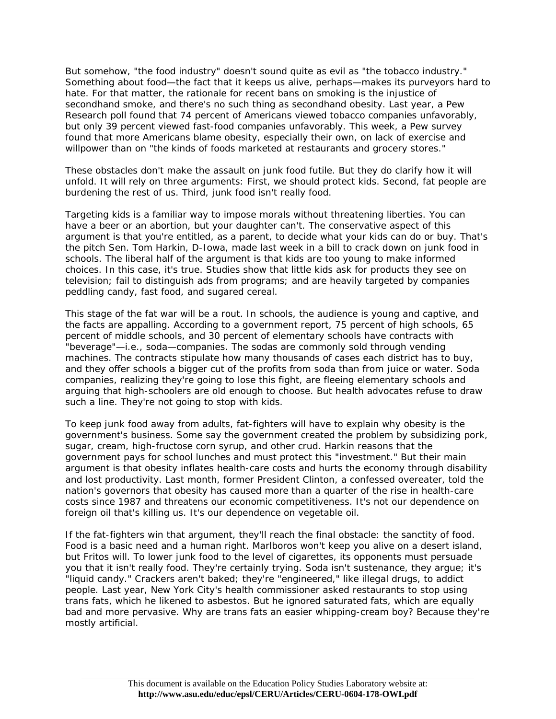But somehow, "the food industry" doesn't sound quite as evil as "the tobacco industry." Something about food—the fact that it keeps us alive, perhaps—makes its purveyors hard to hate. For that matter, the rationale for recent bans on smoking is the injustice of secondhand smoke, and there's no such thing as secondhand obesity. Last year, a Pew Research poll found that 74 percent of Americans viewed tobacco companies unfavorably, but only 39 percent viewed fast-food companies unfavorably. This week, a Pew survey found that more Americans blame obesity, especially their own, on lack of exercise and willpower than on "the kinds of foods marketed at restaurants and grocery stores."

These obstacles don't make the assault on junk food futile. But they do clarify how it will unfold. It will rely on three arguments: First, we should protect kids. Second, fat people are burdening the rest of us. Third, junk food isn't really food.

Targeting kids is a familiar way to impose morals without threatening liberties. You can have a beer or an abortion, but your daughter can't. The conservative aspect of this argument is that you're entitled, as a parent, to decide what your kids can do or buy. That's the pitch Sen. Tom Harkin, D-Iowa, made last week in a bill to crack down on junk food in schools. The liberal half of the argument is that kids are too young to make informed choices. In this case, it's true. Studies show that little kids ask for products they see on television; fail to distinguish ads from programs; and are heavily targeted by companies peddling candy, fast food, and sugared cereal.

This stage of the fat war will be a rout. In schools, the audience is young and captive, and the facts are appalling. According to a government report, 75 percent of high schools, 65 percent of middle schools, and 30 percent of elementary schools have contracts with "beverage"—i.e., soda—companies. The sodas are commonly sold through vending machines. The contracts stipulate how many thousands of cases each district has to buy, and they offer schools a bigger cut of the profits from soda than from juice or water. Soda companies, realizing they're going to lose this fight, are fleeing elementary schools and arguing that high-schoolers are old enough to choose. But health advocates refuse to draw such a line. They're not going to stop with kids.

To keep junk food away from adults, fat-fighters will have to explain why obesity is the government's business. Some say the government created the problem by subsidizing pork, sugar, cream, high-fructose corn syrup, and other crud. Harkin reasons that the government pays for school lunches and must protect this "investment." But their main argument is that obesity inflates health-care costs and hurts the economy through disability and lost productivity. Last month, former President Clinton, a confessed overeater, told the nation's governors that obesity has caused more than a quarter of the rise in health-care costs since 1987 and threatens our economic competitiveness. It's not our dependence on foreign oil that's killing us. It's our dependence on vegetable oil.

If the fat-fighters win that argument, they'll reach the final obstacle: the sanctity of food. Food is a basic need and a human right. Marlboros won't keep you alive on a desert island, but Fritos will. To lower junk food to the level of cigarettes, its opponents must persuade you that it isn't really food. They're certainly trying. Soda isn't sustenance, they argue; it's "liquid candy." Crackers aren't baked; they're "engineered," like illegal drugs, to addict people. Last year, New York City's health commissioner asked restaurants to stop using trans fats, which he likened to asbestos. But he ignored saturated fats, which are equally bad and more pervasive. Why are trans fats an easier whipping-cream boy? Because they're mostly artificial.